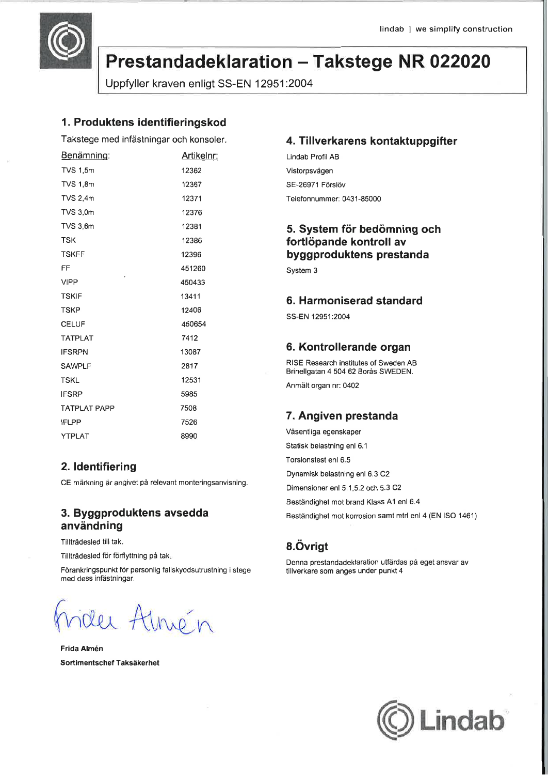

# Prestandadeklaration - Takstege NR 022020

Uppfyller kraven enligt SS-EN 12951:2004

### 1. Produktens identifieringskod

Takstege med infästningar och konsoler.

| Benämning:                | Artikelnr: |
|---------------------------|------------|
| <b>TVS 1,5m</b>           | 12362      |
| <b>TVS 1,8m</b>           | 12367      |
| <b>TVS 2,4m</b>           | 12371      |
| <b>TVS 3.0m</b>           | 12376      |
| <b>TVS 3,6m</b>           | 12381      |
| <b>TSK</b>                | 12386      |
| <b>TSKFF</b>              | 12396      |
| FF                        | 451260     |
| $\epsilon$<br><b>VIPP</b> | 450433     |
| <b>TSKIF</b>              | 13411      |
| <b>TSKP</b>               | 12406      |
| <b>CELUF</b>              | 450654     |
| <b>TATPLAT</b>            | 7412       |
| <b>IFSRPN</b>             | 13087      |
| <b>SAWPLF</b>             | 2817       |
| <b>TSKL</b>               | 12531      |
| <b>IFSRP</b>              | 5985       |
| <b>TATPLAT PAPP</b>       | 7508       |
| <b>IFLPP</b>              | 7526       |
| <b>YTPLAT</b>             | 8990       |

### 2. Identifiering

CE märkning är angivet på relevant monteringsanvisning.

### 3. Byggproduktens avsedda användning

Tillträdesled till tak.

Tillträdesled för förflyttning på tak.

Förankringspunkt för personlig fallskyddsutrustning i stege med dess infästningar.

lei Atnén

Frida Almén Sortimentschef Taksäkerhet

### 4. Tillverkarens kontaktuppgifter

Lindab Profil AB Vistorpsvägen SE-26971 Förslöv Telefonnummer: 0431-85000

## 5. System för bedömning och fortlöpande kontroll av byggproduktens prestanda

System 3

### 6. Harmoniserad standard

SS-FN 12951:2004

#### 6. Kontrollerande organ

RISE Research institutes of Sweden AB Brinellgatan 4 504 62 Borås SWEDEN. Anmält organ nr: 0402

### 7. Angiven prestanda

Väsentliga egenskaper Statisk belastning enl 6.1 Torsionstest enl 6-5 Dynamisk belastning enl 6.3 C2 Dimensioner enl 5.1,5.2 och 5.3 C2 Beständighet mot brand Klass A1 enl 6.4 Beständighet mot korrosion samt mtrl enl 4 (EN ISO 1461)

## 8.Övrigt

Denna prestandadeklaration utfärdas på eget ansvar av tillverkare som anges under punkt 4